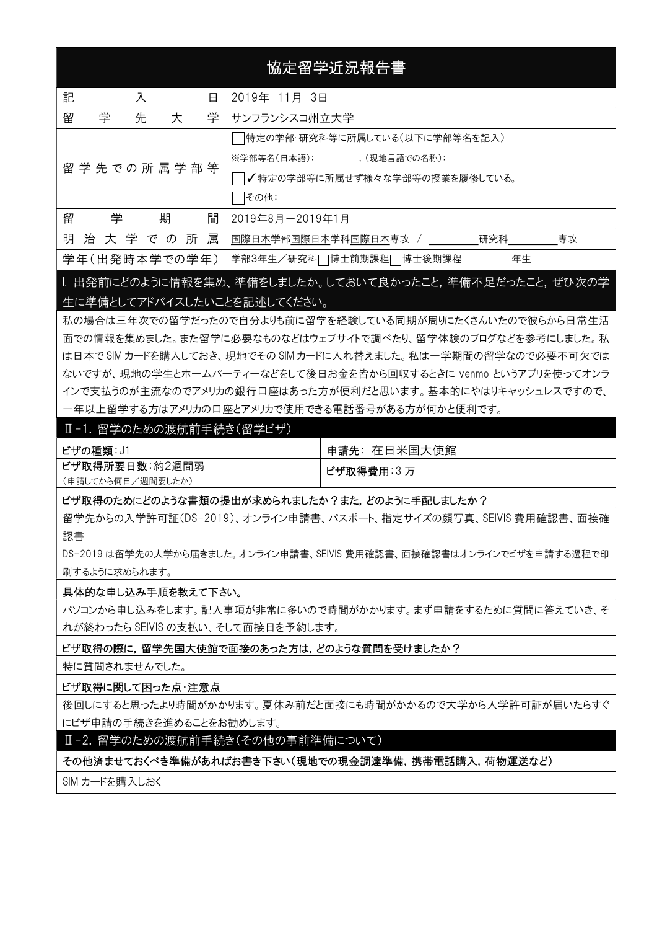# 協定留学近況報告書

| 記<br>入<br>日 |                    |  |               |   | 2019年 11月 3日                      |  |  |  |  |
|-------------|--------------------|--|---------------|---|-----------------------------------|--|--|--|--|
| 留           | 学<br>先<br>学<br>大   |  |               |   | サンフランシスコ州立大学                      |  |  |  |  |
|             |                    |  |               |   | 特定の学部・研究科等に所属している(以下に学部等名を記入)     |  |  |  |  |
|             | 留 学 先 での 所 属 学 部 等 |  |               |   | ※学部等名(日本語):<br>, (現地言語での名称):      |  |  |  |  |
|             |                    |  |               |   | ┃✔特定の学部等に所属せず様々な学部等の授業を履修している。    |  |  |  |  |
|             |                    |  |               |   | その他:                              |  |  |  |  |
| 留           | 学                  |  | 期             | 間 | 2019年8月-2019年1月                   |  |  |  |  |
| 明           |                    |  | 治大学での所        | 属 | 国際日本学部国際日本学科国際日本専攻 /<br>研究科<br>專攻 |  |  |  |  |
|             |                    |  | 学年(出発時本学での学年) |   | 年生<br>学部3年生/研究科□博士前期課程□博士後期課程     |  |  |  |  |

I. 出発前にどのように情報を集め、準備をしましたか。しておいて良かったこと,準備不足だったこと,ぜひ次の学 生に準備としてアドバイスしたいことを記述してください。

私の場合は三年次での留学だったので自分よりも前に留学を経験している同期が周りにたくさんいたので彼らから日常生活 面での情報を集めました。また留学に必要なものなどはウェブサイトで調べたり、留学体験のブログなどを参考にしました。私 は日本で SIM カードを購入しておき、現地でその SIM カードに入れ替えました。私は一学期間の留学なので必要不可欠では ないですが、現地の学生とホームパーティーなどをして後日お金を皆から回収するときに venmo というアプリを使ってオンラ インで支払うのが主流なのでアメリカの銀行口座はあった方が便利だと思います。基本的にやはりキャッシュレスですので、 一年以上留学する方はアメリカの口座とアメリカで使用できる電話番号がある方が何かと便利です。

#### Ⅱ-1. 留学のための渡航前手続き(留学ビザ)

| ビザの種類: J1         | 申請先:在日米国大使館 |
|-------------------|-------------|
| ビザ取得所要日数:約2週間弱    | ビザ取得費用:3万   |
| (申請してから何日/週間要したか) |             |

ビザ取得のためにどのような書類の提出が求められましたか?また,どのように手配しましたか?

留学先からの入学許可証(DS-2019)、オンライン申請書、パスポート、指定サイズの顔写真、SEIVIS 費用確認書、面接確 認書

DS-2019 は留学先の大学から届きました。オンライン申請書、SEIVIS 費用確認書、面接確認書はオンラインでビザを申請する過程で印 刷するように求められます。

### 具体的な申し込み手順を教えて下さい。

パソコンから申し込みをします。記入事項が非常に多いので時間がかかります。まず申請をするために質問に答えていき、そ れが終わったら SEIVIS の支払い、そして面接日を予約します。

ビザ取得の際に,留学先国大使館で面接のあった方は,どのような質問を受けましたか?

特に質問されませんでした。

#### ビザ取得に関して困った点・注意点

後回しにすると思ったより時間がかかります。夏休み前だと面接にも時間がかかるので大学から入学許可証が届いたらすぐ にビザ申請の手続きを進めることをお勧めします。

Ⅱ-2.留学のための渡航前手続き(その他の事前準備について)

その他済ませておくべき準備があればお書き下さい(現地での現金調達準備,携帯電話購入,荷物運送など)

SIM カードを購入しおく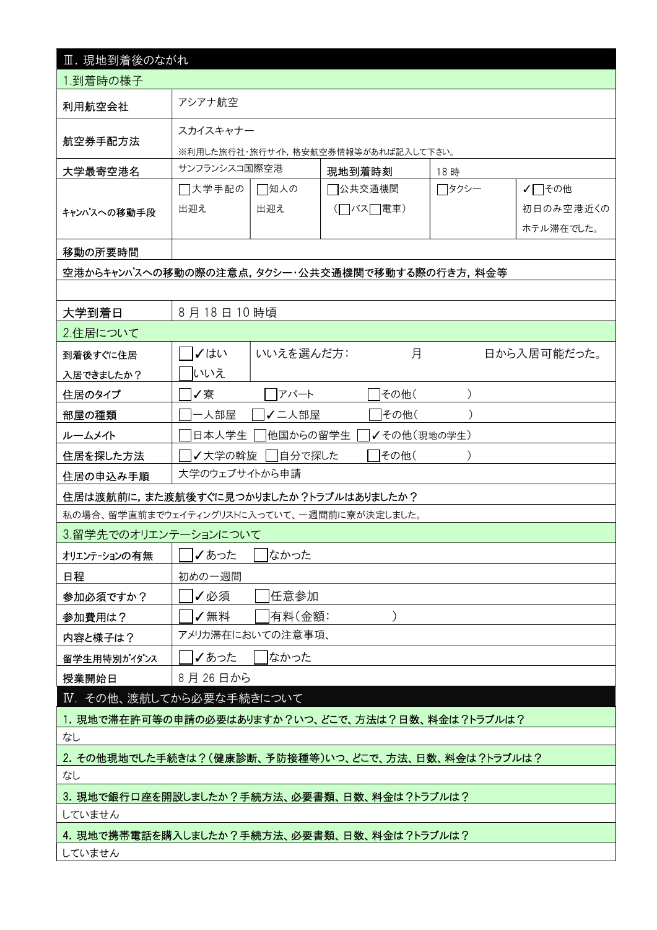| Ⅲ. 現地到着後のながれ                                     |                                                     |           |          |             |        |             |  |  |  |
|--------------------------------------------------|-----------------------------------------------------|-----------|----------|-------------|--------|-------------|--|--|--|
| 1.到着時の様子                                         |                                                     |           |          |             |        |             |  |  |  |
| 利用航空会社                                           | アシアナ航空                                              |           |          |             |        |             |  |  |  |
|                                                  | スカイスキャナー                                            |           |          |             |        |             |  |  |  |
| 航空券手配方法<br>※利用した旅行社・旅行サイト,格安航空券情報等があれば記入して下さい。   |                                                     |           |          |             |        |             |  |  |  |
| 大学最寄空港名                                          | サンフランシスコ国際空港                                        |           | 現地到着時刻   |             | 18 時   |             |  |  |  |
|                                                  | □大学手配の                                              | □知人の      | ]公共交通機関  |             | ┌─タクシー | √□その他       |  |  |  |
| キャンパスへの移動手段                                      | 出迎え                                                 | 出迎え       | (□バス□電車) |             |        | 初日のみ空港近くの   |  |  |  |
|                                                  |                                                     |           |          |             |        | ホテル滞在でした。   |  |  |  |
| 移動の所要時間                                          |                                                     |           |          |             |        |             |  |  |  |
| 空港からキャンパスへの移動の際の注意点,タクシー・公共交通機関で移動する際の行き方,料金等    |                                                     |           |          |             |        |             |  |  |  |
|                                                  |                                                     |           |          |             |        |             |  |  |  |
| 大学到着日                                            | 8月18日10時頃                                           |           |          |             |        |             |  |  |  |
| 2.住居について                                         |                                                     |           |          |             |        |             |  |  |  |
| 到着後すぐに住居                                         | ✓はい                                                 | いいえを選んだ方: |          | 月           |        | 日から入居可能だった。 |  |  |  |
| 入居できましたか?                                        | いいえ                                                 |           |          |             |        |             |  |  |  |
| 住居のタイプ                                           | アパート<br>その他(<br>✔寮                                  |           |          |             |        |             |  |  |  |
| 部屋の種類                                            | -人部屋<br>√二人部屋<br>その他(                               |           |          |             |        |             |  |  |  |
| ルームメイト                                           | 日本人学生                                               | 他国からの留学生  |          | ✔その他(現地の学生) |        |             |  |  |  |
| 住居を探した方法                                         | 自分で探した<br>その他(<br>✔大学の斡旋                            |           |          |             |        |             |  |  |  |
| 住居の申込み手順                                         | 大学のウェブサイトから申請                                       |           |          |             |        |             |  |  |  |
| 住居は渡航前に,また渡航後すぐに見つかりましたか?トラブルはありましたか?            |                                                     |           |          |             |        |             |  |  |  |
| 私の場合、留学直前までウェイティングリストに入っていて、一週間前に寮が決定しました。       |                                                     |           |          |             |        |             |  |  |  |
| 3.留学先でのオリエンテーションについて                             |                                                     |           |          |             |        |             |  |  |  |
| オリエンテーションの有無                                     | ✔あった                                                | なかった      |          |             |        |             |  |  |  |
| 日程                                               | 初めの一週間                                              |           |          |             |        |             |  |  |  |
| 参加必須ですか?                                         | ✔必須                                                 | 任意参加      |          |             |        |             |  |  |  |
| 参加費用は?                                           | ✔無料                                                 | 有料(金額:    |          | $\lambda$   |        |             |  |  |  |
| 内容と様子は?                                          | アメリカ滞在においての注意事項、                                    |           |          |             |        |             |  |  |  |
| 留学生用特別がイダンス                                      | ✔あった                                                | なかった      |          |             |        |             |  |  |  |
| 授業開始日                                            | 8月26日から                                             |           |          |             |        |             |  |  |  |
| IV. その他、渡航してから必要な手続きについて                         |                                                     |           |          |             |        |             |  |  |  |
| 1. 現地で滞在許可等の申請の必要はありますか?いつ、どこで、方法は?日数、料金は?トラブルは? |                                                     |           |          |             |        |             |  |  |  |
| なし                                               |                                                     |           |          |             |        |             |  |  |  |
|                                                  | 2. その他現地でした手続きは?(健康診断、予防接種等)いつ、どこで、方法、日数、料金は?トラブルは? |           |          |             |        |             |  |  |  |
| なし                                               |                                                     |           |          |             |        |             |  |  |  |
| 3. 現地で銀行口座を開設しましたか?手続方法、必要書類、日数、料金は?トラブルは?       |                                                     |           |          |             |        |             |  |  |  |
| していません                                           |                                                     |           |          |             |        |             |  |  |  |
| 4. 現地で携帯電話を購入しましたか?手続方法、必要書類、日数、料金は?トラブルは?       |                                                     |           |          |             |        |             |  |  |  |
| していません                                           |                                                     |           |          |             |        |             |  |  |  |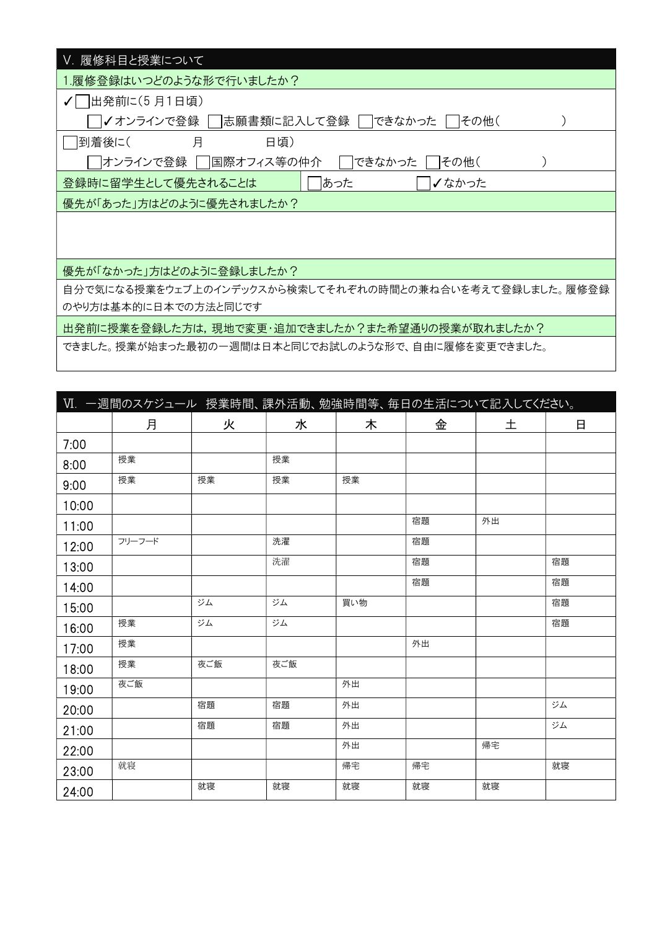| V. 履修科目と授業について                                          |
|---------------------------------------------------------|
| 1.履修登録はいつどのような形で行いましたか?                                 |
| 出発前に(5 月1日頃)<br>$\sqrt{}$                               |
| ✔ オンラインで登録  <br> 志願書類に記入して登録  <br>できなかった<br> その他(       |
| 月<br>   到着後に(<br>日頃)                                    |
| 国際オフィス等の仲介 <br> オンラインで登録  <br>できなかった<br> その他(           |
| あった<br>登録時に留学生として優先されることは<br>✔なかった                      |
| 優先が「あった」方はどのように優先されましたか?                                |
|                                                         |
|                                                         |
| 優先が「なかった」方はどのように登録しましたか?                                |
|                                                         |
| 自分で気になる授業をウェブ上のインデックスから検索してそれぞれの時間との兼ね合いを考えて登録しました。履修登録 |
| のやり方は基本的に日本での方法と同じです                                    |
| 出発前に授業を登録した方は,現地で変更・追加できましたか?また希望通りの授業が取れましたか?          |
| できました。授業が始まった最初の一週間は日本と同じでお試しのような形で、自由に履修を変更できました。      |

|       | Ⅵ. 一週間のスケジュール 授業時間、課外活動、勉強時間等、毎日の生活について記入してください。 |     |     |     |    |    |    |
|-------|--------------------------------------------------|-----|-----|-----|----|----|----|
|       | 月                                                | 火   | 水   | 木   | 金  | 土  | 日  |
| 7:00  |                                                  |     |     |     |    |    |    |
| 8:00  | 授業                                               |     | 授業  |     |    |    |    |
| 9:00  | 授業                                               | 授業  | 授業  | 授業  |    |    |    |
| 10:00 |                                                  |     |     |     |    |    |    |
| 11:00 |                                                  |     |     |     | 宿題 | 外出 |    |
| 12:00 | フリーフード                                           |     | 洗濯  |     | 宿題 |    |    |
| 13:00 |                                                  |     | 洗濯  |     | 宿題 |    | 宿題 |
| 14:00 |                                                  |     |     |     | 宿題 |    | 宿題 |
| 15:00 |                                                  | ジム  | ジム  | 買い物 |    |    | 宿題 |
| 16:00 | 授業                                               | ジム  | ジム  |     |    |    | 宿題 |
| 17:00 | 授業                                               |     |     |     | 外出 |    |    |
| 18:00 | 授業                                               | 夜ご飯 | 夜ご飯 |     |    |    |    |
| 19:00 | 夜ご飯                                              |     |     | 外出  |    |    |    |
| 20:00 |                                                  | 宿題  | 宿題  | 外出  |    |    | ジム |
| 21:00 |                                                  | 宿題  | 宿題  | 外出  |    |    | ジム |
| 22:00 |                                                  |     |     | 外出  |    | 帰宅 |    |
| 23:00 | 就寝                                               |     |     | 帰宅  | 帰宅 |    | 就寝 |
| 24:00 |                                                  | 就寝  | 就寝  | 就寝  | 就寝 | 就寝 |    |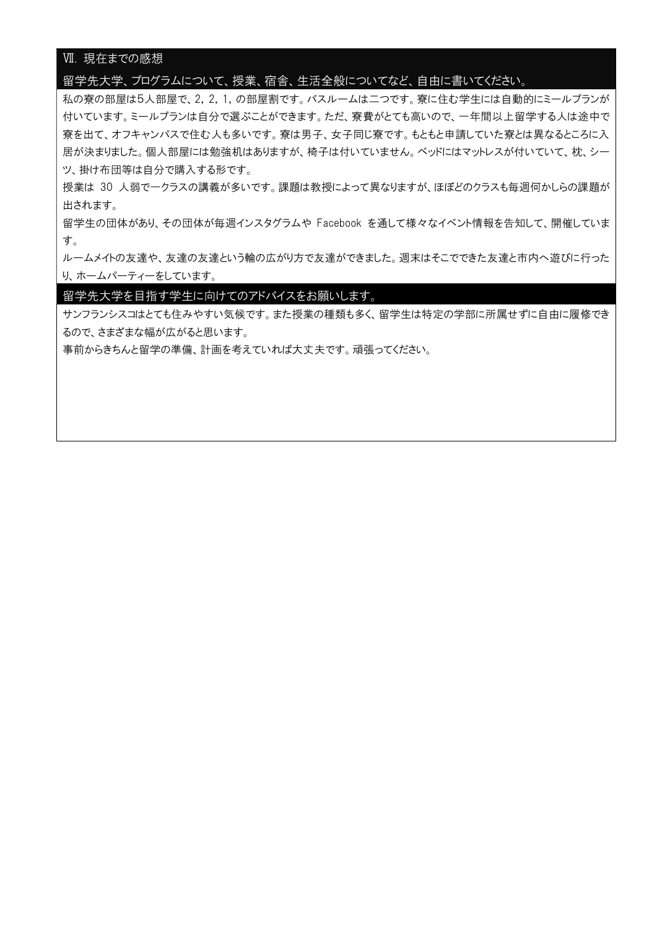# Ⅶ. 現在までの感想

#### 留学先大学、プログラムについて、授業、宿舎、生活全般についてなど、自由に書いてください。

私の寮の部屋は5人部屋で、2,2,1,の部屋割です。バスルームは二つです。寮に住む学生には自動的にミールプランが 付いています。ミールプランは自分で選ぶことができます。ただ、寮費がとても高いので、一年間以上留学する人は途中で 寮を出て、オフキャンパスで住む人も多いです。寮は男子、女子同じ寮です。もともと申請していた寮とは異なるところに入 居が決まりました。個人部屋には勉強机はありますが、椅子は付いていません。ベッドにはマットレスが付いていて、枕、シー ツ、掛け布団等は自分で購入する形です。

授業は 30 人弱で一クラスの講義が多いです。課題は教授によって異なりますが、ほぼどのクラスも毎週何かしらの課題が 出されます。

留学生の団体があり、その団体が毎週インスタグラムや Facebook を通して様々なイベント情報を告知して、開催していま す。

ルームメイトの友達や、友達の友達という輪の広がり方で友達ができました。週末はそこでできた友達と市内へ遊びに行った り、ホームパーティーをしています。

留学先大学を目指す学生に向けてのアドバイスをお願いします。

サンフランシスコはとても住みやすい気候です。また授業の種類も多く、留学生は特定の学部に所属せずに自由に履修でき るので、さまざまな幅が広がると思います。

事前からきちんと留学の準備、計画を考えていれば大丈夫です。頑張ってください。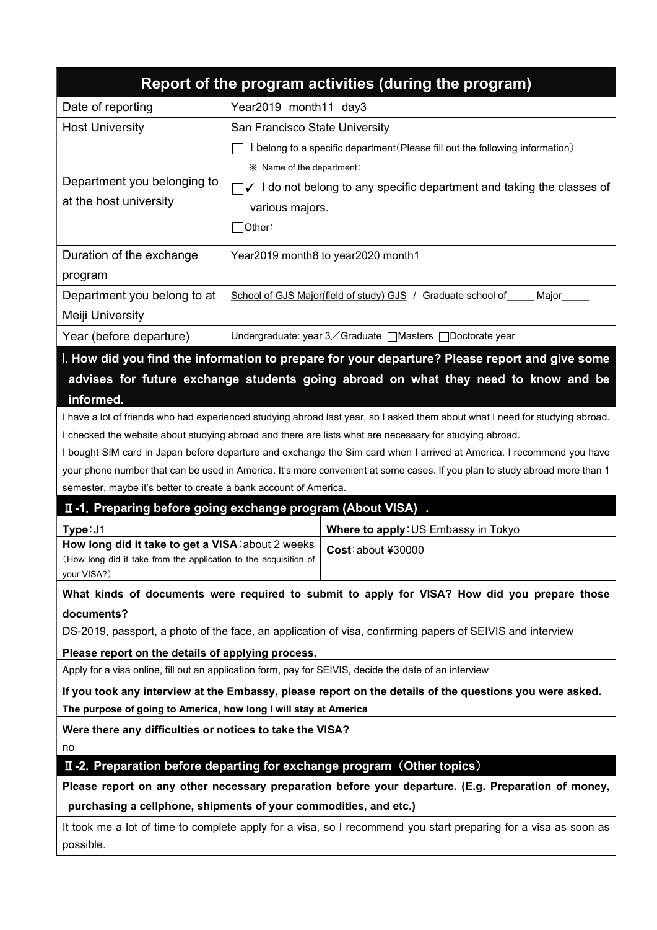| Report of the program activities (during the program)                                                                                                                                                                                                                                                                                                                                                                                                                                                                                                                                                                                                                                                                                                                                                                                                                                                                                                                  |                                                                                                                                                                                                                                      |                                                                                                        |  |  |  |  |  |  |  |
|------------------------------------------------------------------------------------------------------------------------------------------------------------------------------------------------------------------------------------------------------------------------------------------------------------------------------------------------------------------------------------------------------------------------------------------------------------------------------------------------------------------------------------------------------------------------------------------------------------------------------------------------------------------------------------------------------------------------------------------------------------------------------------------------------------------------------------------------------------------------------------------------------------------------------------------------------------------------|--------------------------------------------------------------------------------------------------------------------------------------------------------------------------------------------------------------------------------------|--------------------------------------------------------------------------------------------------------|--|--|--|--|--|--|--|
| Date of reporting                                                                                                                                                                                                                                                                                                                                                                                                                                                                                                                                                                                                                                                                                                                                                                                                                                                                                                                                                      | Year2019 month11 day3                                                                                                                                                                                                                |                                                                                                        |  |  |  |  |  |  |  |
| <b>Host University</b>                                                                                                                                                                                                                                                                                                                                                                                                                                                                                                                                                                                                                                                                                                                                                                                                                                                                                                                                                 | San Francisco State University                                                                                                                                                                                                       |                                                                                                        |  |  |  |  |  |  |  |
| Department you belonging to<br>at the host university                                                                                                                                                                                                                                                                                                                                                                                                                                                                                                                                                                                                                                                                                                                                                                                                                                                                                                                  | I belong to a specific department (Please fill out the following information)<br>※ Name of the department:<br>$\Box$ $\checkmark$ I do not belong to any specific department and taking the classes of<br>various majors.<br>]Other∶ |                                                                                                        |  |  |  |  |  |  |  |
| Duration of the exchange<br>program                                                                                                                                                                                                                                                                                                                                                                                                                                                                                                                                                                                                                                                                                                                                                                                                                                                                                                                                    |                                                                                                                                                                                                                                      | Year2019 month8 to year2020 month1                                                                     |  |  |  |  |  |  |  |
| Department you belong to at<br>Meiji University                                                                                                                                                                                                                                                                                                                                                                                                                                                                                                                                                                                                                                                                                                                                                                                                                                                                                                                        |                                                                                                                                                                                                                                      | School of GJS Major(field of study) GJS / Graduate school of<br>Major                                  |  |  |  |  |  |  |  |
| Year (before departure)                                                                                                                                                                                                                                                                                                                                                                                                                                                                                                                                                                                                                                                                                                                                                                                                                                                                                                                                                |                                                                                                                                                                                                                                      | Undergraduate: year 3 ∕ Graduate [Masters [ Doctorate year                                             |  |  |  |  |  |  |  |
| I. How did you find the information to prepare for your departure? Please report and give some<br>advises for future exchange students going abroad on what they need to know and be<br>informed.<br>I have a lot of friends who had experienced studying abroad last year, so I asked them about what I need for studying abroad.<br>I checked the website about studying abroad and there are lists what are necessary for studying abroad.<br>I bought SIM card in Japan before departure and exchange the Sim card when I arrived at America. I recommend you have<br>your phone number that can be used in America. It's more convenient at some cases. If you plan to study abroad more than 1<br>semester, maybe it's better to create a bank account of America.<br>II -1. Preparing before going exchange program (About VISA).<br>Type: J1<br>Where to apply: US Embassy in Tokyo<br>How long did it take to get a VISA: about 2 weeks<br>Cost: about ¥30000 |                                                                                                                                                                                                                                      |                                                                                                        |  |  |  |  |  |  |  |
| your VISA?)<br>What kinds of documents were required to submit to apply for VISA? How did you prepare those<br>documents?<br>DS-2019, passport, a photo of the face, an application of visa, confirming papers of SEIVIS and interview                                                                                                                                                                                                                                                                                                                                                                                                                                                                                                                                                                                                                                                                                                                                 |                                                                                                                                                                                                                                      |                                                                                                        |  |  |  |  |  |  |  |
| Please report on the details of applying process.                                                                                                                                                                                                                                                                                                                                                                                                                                                                                                                                                                                                                                                                                                                                                                                                                                                                                                                      |                                                                                                                                                                                                                                      |                                                                                                        |  |  |  |  |  |  |  |
|                                                                                                                                                                                                                                                                                                                                                                                                                                                                                                                                                                                                                                                                                                                                                                                                                                                                                                                                                                        |                                                                                                                                                                                                                                      | Apply for a visa online, fill out an application form, pay for SEIVIS, decide the date of an interview |  |  |  |  |  |  |  |
| If you took any interview at the Embassy, please report on the details of the questions you were asked.<br>The purpose of going to America, how long I will stay at America                                                                                                                                                                                                                                                                                                                                                                                                                                                                                                                                                                                                                                                                                                                                                                                            |                                                                                                                                                                                                                                      |                                                                                                        |  |  |  |  |  |  |  |
| Were there any difficulties or notices to take the VISA?                                                                                                                                                                                                                                                                                                                                                                                                                                                                                                                                                                                                                                                                                                                                                                                                                                                                                                               |                                                                                                                                                                                                                                      |                                                                                                        |  |  |  |  |  |  |  |
| no                                                                                                                                                                                                                                                                                                                                                                                                                                                                                                                                                                                                                                                                                                                                                                                                                                                                                                                                                                     |                                                                                                                                                                                                                                      |                                                                                                        |  |  |  |  |  |  |  |
|                                                                                                                                                                                                                                                                                                                                                                                                                                                                                                                                                                                                                                                                                                                                                                                                                                                                                                                                                                        |                                                                                                                                                                                                                                      | II-2. Preparation before departing for exchange program (Other topics)                                 |  |  |  |  |  |  |  |
|                                                                                                                                                                                                                                                                                                                                                                                                                                                                                                                                                                                                                                                                                                                                                                                                                                                                                                                                                                        | Please report on any other necessary preparation before your departure. (E.g. Preparation of money,                                                                                                                                  |                                                                                                        |  |  |  |  |  |  |  |
| purchasing a cellphone, shipments of your commodities, and etc.)<br>It took me a lot of time to complete apply for a visa, so I recommend you start preparing for a visa as soon as<br>possible.                                                                                                                                                                                                                                                                                                                                                                                                                                                                                                                                                                                                                                                                                                                                                                       |                                                                                                                                                                                                                                      |                                                                                                        |  |  |  |  |  |  |  |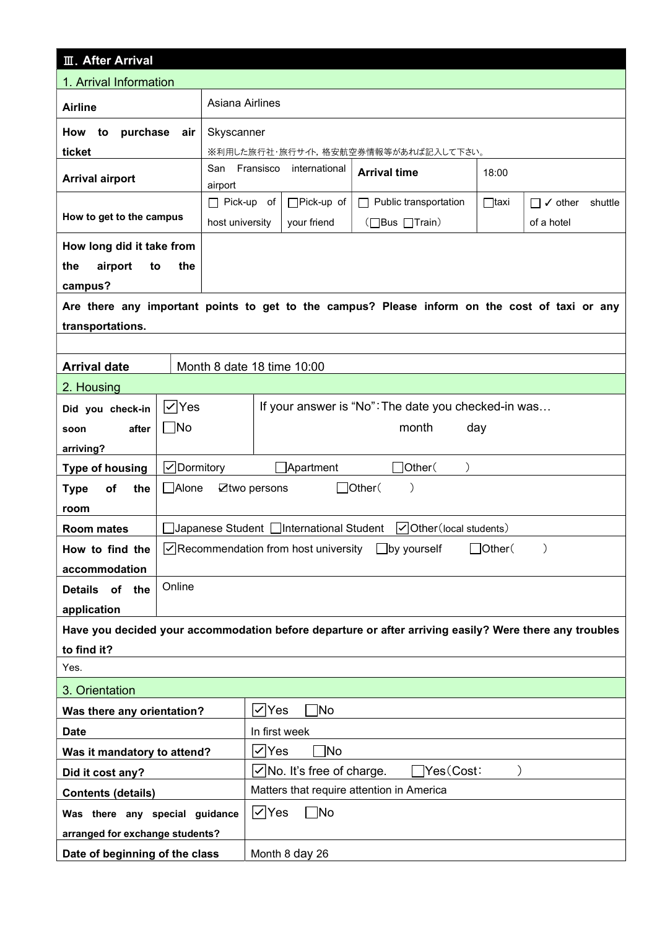| <b>III. After Arrival</b>                  |            |                         |                                                                |                                                                                                        |               |                                   |  |  |  |
|--------------------------------------------|------------|-------------------------|----------------------------------------------------------------|--------------------------------------------------------------------------------------------------------|---------------|-----------------------------------|--|--|--|
| 1. Arrival Information                     |            |                         |                                                                |                                                                                                        |               |                                   |  |  |  |
| Asiana Airlines<br><b>Airline</b>          |            |                         |                                                                |                                                                                                        |               |                                   |  |  |  |
| purchase<br>How<br>to<br>Skyscanner<br>air |            |                         |                                                                |                                                                                                        |               |                                   |  |  |  |
| ticket                                     |            |                         | ※利用した旅行社・旅行サイト,格安航空券情報等があれば記入して下さい。                            |                                                                                                        |               |                                   |  |  |  |
| <b>Arrival airport</b>                     |            | San<br>Fransisco        | international                                                  | <b>Arrival time</b>                                                                                    | 18:00         |                                   |  |  |  |
|                                            |            | airport                 |                                                                |                                                                                                        |               |                                   |  |  |  |
| How to get to the campus                   |            | $\Box$ Pick-up of       | □Pick-up of                                                    | $\Box$ Public transportation                                                                           | $\Box$ taxi   | $\Box$ $\checkmark$ other shuttle |  |  |  |
|                                            |            | host university         | your friend                                                    | (□Bus □Train)                                                                                          |               | of a hotel                        |  |  |  |
| How long did it take from                  |            |                         |                                                                |                                                                                                        |               |                                   |  |  |  |
| the<br>airport<br>to<br>campus?            | the        |                         |                                                                |                                                                                                        |               |                                   |  |  |  |
|                                            |            |                         |                                                                | Are there any important points to get to the campus? Please inform on the cost of taxi or any          |               |                                   |  |  |  |
| transportations.                           |            |                         |                                                                |                                                                                                        |               |                                   |  |  |  |
|                                            |            |                         |                                                                |                                                                                                        |               |                                   |  |  |  |
| <b>Arrival date</b>                        |            |                         | Month 8 date 18 time 10:00                                     |                                                                                                        |               |                                   |  |  |  |
| 2. Housing                                 |            |                         |                                                                |                                                                                                        |               |                                   |  |  |  |
| Did you check-in                           | ∣✓∣Yes     |                         | If your answer is "No": The date you checked-in was            |                                                                                                        |               |                                   |  |  |  |
| after<br>soon                              | $\Box$ No  |                         | month<br>day                                                   |                                                                                                        |               |                                   |  |  |  |
| arriving?                                  |            |                         |                                                                |                                                                                                        |               |                                   |  |  |  |
| <b>Type of housing</b>                     | √Dormitory |                         | $\Box$ Apartment                                               | Other (                                                                                                |               |                                   |  |  |  |
| of<br>the<br><b>Type</b>                   | □Alone     | $\mathbb Z$ two persons |                                                                | $\Box$ Other(<br>$\mathcal{E}$                                                                         |               |                                   |  |  |  |
| room                                       |            |                         |                                                                |                                                                                                        |               |                                   |  |  |  |
| <b>Room mates</b>                          |            |                         |                                                                | $\triangledown$ Other (local students)                                                                 |               |                                   |  |  |  |
| How to find the                            |            |                         | $\sqrt{\sqrt{\frac{1}{1}}$ Recommendation from host university | $\Box$ by yourself                                                                                     | $J$ Other $($ | $\mathcal{E}$                     |  |  |  |
| accommodation                              |            |                         |                                                                |                                                                                                        |               |                                   |  |  |  |
| Details of the                             | Online     |                         |                                                                |                                                                                                        |               |                                   |  |  |  |
| application                                |            |                         |                                                                |                                                                                                        |               |                                   |  |  |  |
|                                            |            |                         |                                                                | Have you decided your accommodation before departure or after arriving easily? Were there any troubles |               |                                   |  |  |  |
| to find it?                                |            |                         |                                                                |                                                                                                        |               |                                   |  |  |  |
| Yes.                                       |            |                         |                                                                |                                                                                                        |               |                                   |  |  |  |
| 3. Orientation                             |            |                         |                                                                |                                                                                                        |               |                                   |  |  |  |
| Was there any orientation?                 |            |                         | 1No<br>$\vee$ Yes                                              |                                                                                                        |               |                                   |  |  |  |
| <b>Date</b>                                |            |                         | In first week                                                  |                                                                                                        |               |                                   |  |  |  |
| Was it mandatory to attend?                |            |                         | VYes<br>No                                                     |                                                                                                        |               |                                   |  |  |  |
| Did it cost any?                           |            |                         | $\sqrt{}$ No. It's free of charge.<br>Yes(Cost:                |                                                                                                        |               |                                   |  |  |  |
| <b>Contents (details)</b>                  |            |                         | Matters that require attention in America                      |                                                                                                        |               |                                   |  |  |  |
| Was there any special guidance             |            |                         | $\nabla$ Yes<br>$\Box$ No                                      |                                                                                                        |               |                                   |  |  |  |
| arranged for exchange students?            |            |                         |                                                                |                                                                                                        |               |                                   |  |  |  |
| Date of beginning of the class             |            |                         | Month 8 day 26                                                 |                                                                                                        |               |                                   |  |  |  |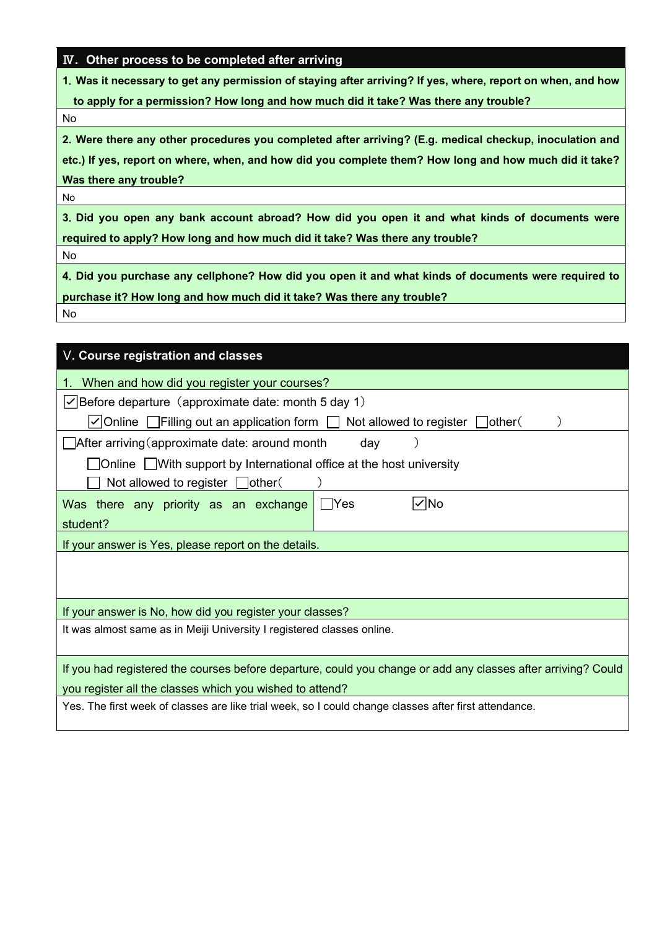## Ⅳ. Other process to be completed after arriving

1.Was it necessary to get any permission of staying after arriving? If yes, where, report on when, and how

to apply for a permission? How long and how much did it take? Was there any trouble?

No

2.Were there any other procedures you completed after arriving? (E.g. medical checkup, inoculation and

etc.) If yes, report on where, when, and how did you complete them? How long and how much did it take? Was there any trouble?

No

3.Did you open any bank account abroad? How did you open it and what kinds of documents were required to apply? How long and how much did it take? Was there any trouble?

No

4.Did you purchase any cellphone? How did you open it and what kinds of documents were required to purchase it? How long and how much did it take? Was there any trouble?

No

| V. Course registration and classes                                                                            |  |  |  |  |  |  |  |  |
|---------------------------------------------------------------------------------------------------------------|--|--|--|--|--|--|--|--|
| When and how did you register your courses?<br>1.                                                             |  |  |  |  |  |  |  |  |
| $\vert \checkmark\vert$ Before departure (approximate date: month 5 day 1)                                    |  |  |  |  |  |  |  |  |
| $\vee$ Online Filling out an application form $\Box$<br>Not allowed to register $\Box$ other                  |  |  |  |  |  |  |  |  |
| $\Box$ After arriving (approximate date: around month<br>day                                                  |  |  |  |  |  |  |  |  |
| $\Box$ Online $\Box$ With support by International office at the host university                              |  |  |  |  |  |  |  |  |
| Not allowed to register $\Box$ other(                                                                         |  |  |  |  |  |  |  |  |
| $\vee$ No<br>Was there any priority as an exchange<br>$\sf Nes$                                               |  |  |  |  |  |  |  |  |
| student?                                                                                                      |  |  |  |  |  |  |  |  |
| If your answer is Yes, please report on the details.                                                          |  |  |  |  |  |  |  |  |
|                                                                                                               |  |  |  |  |  |  |  |  |
|                                                                                                               |  |  |  |  |  |  |  |  |
| If your answer is No, how did you register your classes?                                                      |  |  |  |  |  |  |  |  |
| It was almost same as in Meiji University I registered classes online.                                        |  |  |  |  |  |  |  |  |
|                                                                                                               |  |  |  |  |  |  |  |  |
| If you had registered the courses before departure, could you change or add any classes after arriving? Could |  |  |  |  |  |  |  |  |
| you register all the classes which you wished to attend?                                                      |  |  |  |  |  |  |  |  |
| Yes. The first week of classes are like trial week, so I could change classes after first attendance.         |  |  |  |  |  |  |  |  |